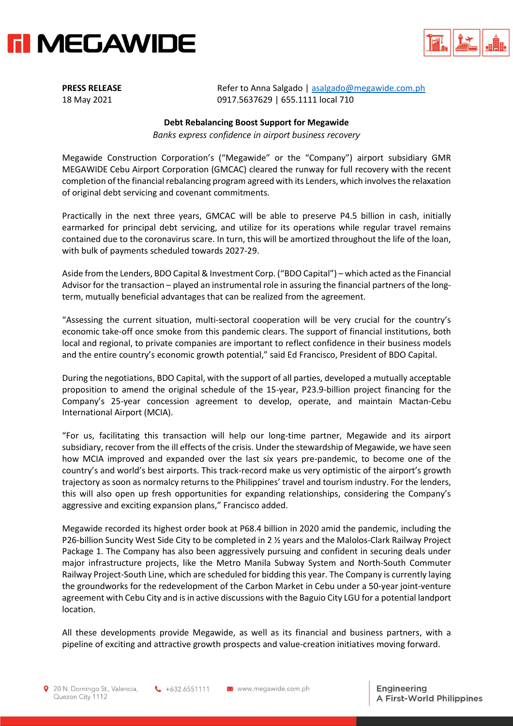



**PRESS RELEASE** Refer to Anna Salgado | [asalgado@megawide.com.ph](mailto:asalgado@megawide.com.ph) 18 May 2021 0917.5637629 | 655.1111 local 710

## **Debt Rebalancing Boost Support for Megawide**

*Banks express confidence in airport business recovery*

Megawide Construction Corporation's ("Megawide" or the "Company") airport subsidiary GMR MEGAWIDE Cebu Airport Corporation (GMCAC) cleared the runway for full recovery with the recent completion of the financial rebalancing program agreed with its Lenders, which involves the relaxation of original debt servicing and covenant commitments.

Practically in the next three years, GMCAC will be able to preserve P4.5 billion in cash, initially earmarked for principal debt servicing, and utilize for its operations while regular travel remains contained due to the coronavirus scare. In turn, this will be amortized throughout the life of the loan, with bulk of payments scheduled towards 2027-29.

Aside from the Lenders, BDO Capital & Investment Corp. ("BDO Capital") – which acted as the Financial Advisor for the transaction – played an instrumental role in assuring the financial partners of the longterm, mutually beneficial advantages that can be realized from the agreement.

"Assessing the current situation, multi-sectoral cooperation will be very crucial for the country's economic take-off once smoke from this pandemic clears. The support of financial institutions, both local and regional, to private companies are important to reflect confidence in their business models and the entire country's economic growth potential," said Ed Francisco, President of BDO Capital.

During the negotiations, BDO Capital, with the support of all parties, developed a mutually acceptable proposition to amend the original schedule of the 15-year, P23.9-billion project financing for the Company's 25-year concession agreement to develop, operate, and maintain Mactan-Cebu International Airport (MCIA).

"For us, facilitating this transaction will help our long-time partner, Megawide and its airport subsidiary, recover from the ill effects of the crisis. Under the stewardship of Megawide, we have seen how MCIA improved and expanded over the last six years pre-pandemic, to become one of the country's and world's best airports. This track-record make us very optimistic of the airport's growth trajectory as soon as normalcy returns to the Philippines' travel and tourism industry. For the lenders, this will also open up fresh opportunities for expanding relationships, considering the Company's aggressive and exciting expansion plans," Francisco added.

Megawide recorded its highest order book at P68.4 billion in 2020 amid the pandemic, including the P26-billion Suncity West Side City to be completed in 2 ½ years and the Malolos-Clark Railway Project Package 1. The Company has also been aggressively pursuing and confident in securing deals under major infrastructure projects, like the Metro Manila Subway System and North-South Commuter Railway Project-South Line, which are scheduled for bidding this year. The Company is currently laying the groundworks for the redevelopment of the Carbon Market in Cebu under a 50-year joint-venture agreement with Cebu City and is in active discussions with the Baguio City LGU for a potential landport location.

All these developments provide Megawide, as well as its financial and business partners, with a pipeline of exciting and attractive growth prospects and value-creation initiatives moving forward.

 $\leftarrow +632.6551111$ 

www.megawide.com.ph